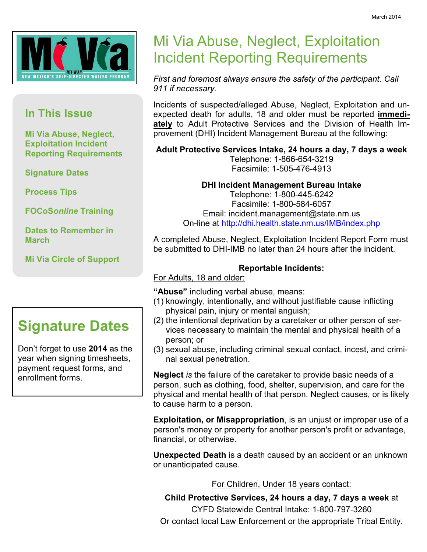

#### In This Issue

Mi Via Abuse, Neglect, Exploitation Incident Reporting Requirements

Signature Dates

Process Tips

FOCoSonline Training

Dates to Remember in March

Mi Via Circle of Support

## Signature Dates

Don't forget to use 2014 as the year when signing timesheets, payment request forms, and enrollment forms.

# Mi Via Abuse, Neglect, Exploitation Incident Reporting Requirements

First and foremost always ensure the safety of the participant. Call 911 if necessary.

Incidents of suspected/alleged Abuse, Neglect, Exploitation and unexpected death for adults, 18 and older must be reported immediately to Adult Protective Services and the Division of Health Improvement (DHI) Incident Management Bureau at the following:

Adult Protective Services Intake, 24 hours a day, 7 days a week

Telephone: 1-866-654-3219 Facsimile: 1-505-476-4913

#### DHI Incident Management Bureau Intake

Telephone: 1-800-445-6242 Facsimile: 1-800-584-6057 Email: incident.management@state.nm.us On-line at http://dhi.health.state.nm.us/IMB/index.php

A completed Abuse, Neglect, Exploitation Incident Report Form must be submitted to DHI-IMB no later than 24 hours after the incident.

#### Reportable Incidents:

#### For Adults, 18 and older:

"Abuse" including verbal abuse, means:

- (1) knowingly, intentionally, and without justifiable cause inflicting physical pain, injury or mental anguish;
- (2) the intentional deprivation by a caretaker or other person of services necessary to maintain the mental and physical health of a person; or
- (3) sexual abuse, including criminal sexual contact, incest, and criminal sexual penetration.

**Neglect** is the failure of the caretaker to provide basic needs of a person, such as clothing, food, shelter, supervision, and care for the physical and mental health of that person. Neglect causes, or is likely to cause harm to a person.

**Exploitation, or Misappropriation**, is an unjust or improper use of a person's money or property for another person's profit or advantage, financial, or otherwise.

Unexpected Death is a death caused by an accident or an unknown or unanticipated cause.

For Children, Under 18 years contact:

Child Protective Services, 24 hours a day, 7 days a week at CYFD Statewide Central Intake: 1-800-797-3260 Or contact local Law Enforcement or the appropriate Tribal Entity.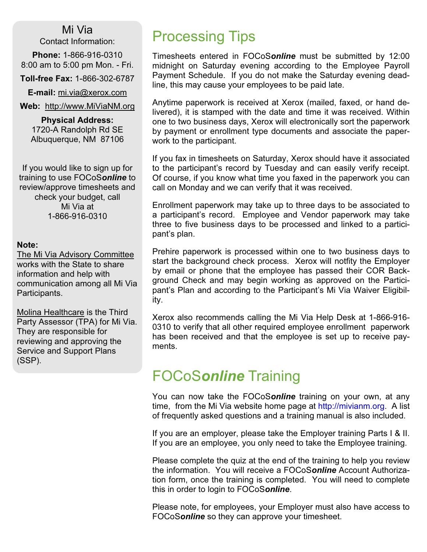Mi Via Contact Information:

Phone: 1-866-916-0310 8:00 am to 5:00 pm Mon. - Fri.

Toll-free Fax: 1-866-302-6787

E-mail: mi.via@xerox.com

Web: http://www.MiViaNM.org

Physical Address: 1720-A Randolph Rd SE Albuquerque, NM 87106

If you would like to sign up for training to use FOCoSonline to review/approve timesheets and check your budget, call Mi Via at 1-866-916-0310

#### Note:

The Mi Via Advisory Committee works with the State to share information and help with communication among all Mi Via Participants.

Molina Healthcare is the Third Party Assessor (TPA) for Mi Via. They are responsible for reviewing and approving the Service and Support Plans (SSP).

# Processing Tips

Timesheets entered in FOCoSonline must be submitted by 12:00 midnight on Saturday evening according to the Employee Payroll Payment Schedule. If you do not make the Saturday evening deadline, this may cause your employees to be paid late.

Anytime paperwork is received at Xerox (mailed, faxed, or hand delivered), it is stamped with the date and time it was received. Within one to two business days, Xerox will electronically sort the paperwork by payment or enrollment type documents and associate the paperwork to the participant.

If you fax in timesheets on Saturday, Xerox should have it associated to the participant's record by Tuesday and can easily verify receipt. Of course, if you know what time you faxed in the paperwork you can call on Monday and we can verify that it was received.

Enrollment paperwork may take up to three days to be associated to a participant's record. Employee and Vendor paperwork may take three to five business days to be processed and linked to a participant's plan.

Prehire paperwork is processed within one to two business days to start the background check process. Xerox will notfity the Employer by email or phone that the employee has passed their COR Background Check and may begin working as approved on the Participant's Plan and according to the Participant's Mi Via Waiver Eligibility.

Xerox also recommends calling the Mi Via Help Desk at 1-866-916- 0310 to verify that all other required employee enrollment paperwork has been received and that the employee is set up to receive payments.

### FOCoSonline Training

You can now take the FOCoSonline training on your own, at any time, from the Mi Via website home page at http://mivianm.org. A list of frequently asked questions and a training manual is also included.

If you are an employer, please take the Employer training Parts I & II. If you are an employee, you only need to take the Employee training.

Please complete the quiz at the end of the training to help you review the information. You will receive a FOCoSonline Account Authorization form, once the training is completed. You will need to complete this in order to login to FOCoSonline.

Please note, for employees, your Employer must also have access to FOCoSonline so they can approve your timesheet.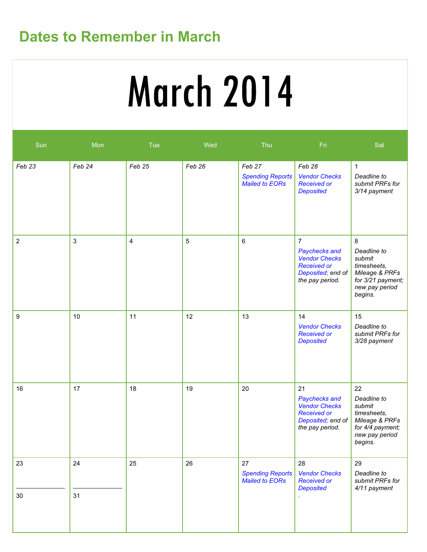# Dates to Remember in March

# **March 2014**

| Sun            | Mon      | Tue    | Wed    | Thu                                                        | Fri                                                                                                                   | Sat                                                                                                           |
|----------------|----------|--------|--------|------------------------------------------------------------|-----------------------------------------------------------------------------------------------------------------------|---------------------------------------------------------------------------------------------------------------|
| Feb 23         | Feb 24   | Feb 25 | Feb 26 | Feb 27<br><b>Spending Reports</b><br><b>Mailed to EORs</b> | Feb 28<br><b>Vendor Checks</b><br><b>Received or</b><br><b>Deposited</b>                                              | $\mathbf{1}$<br>Deadline to<br>submit PRFs for<br>3/14 payment                                                |
| $\overline{c}$ | 3        | 4      | 5      | 6                                                          | $\overline{7}$<br>Paychecks and<br><b>Vendor Checks</b><br><b>Received or</b><br>Deposited; end of<br>the pay period. | 8<br>Deadline to<br>submit<br>timesheets,<br>Mileage & PRFs<br>for 3/21 payment;<br>new pay period<br>begins. |
| 9              | 10       | 11     | 12     | 13                                                         | 14<br><b>Vendor Checks</b><br><b>Received or</b><br><b>Deposited</b>                                                  | 15<br>Deadline to<br>submit PRFs for<br>3/28 payment                                                          |
| 16             | 17       | 18     | 19     | 20                                                         | 21<br>Paychecks and<br><b>Vendor Checks</b><br><b>Received or</b><br>Deposited; end of<br>the pay period.             | 22<br>Deadline to<br>submit<br>timesheets,<br>Mileage & PRFs<br>for 4/4 payment;<br>new pay period<br>begins. |
| 23<br>$30\,$   | 24<br>31 | 25     | 26     | 27<br><b>Spending Reports</b><br><b>Mailed to EORs</b>     | 28<br><b>Vendor Checks</b><br><b>Received or</b><br><b>Deposited</b>                                                  | 29<br>Deadline to<br>submit PRFs for<br>4/11 payment                                                          |